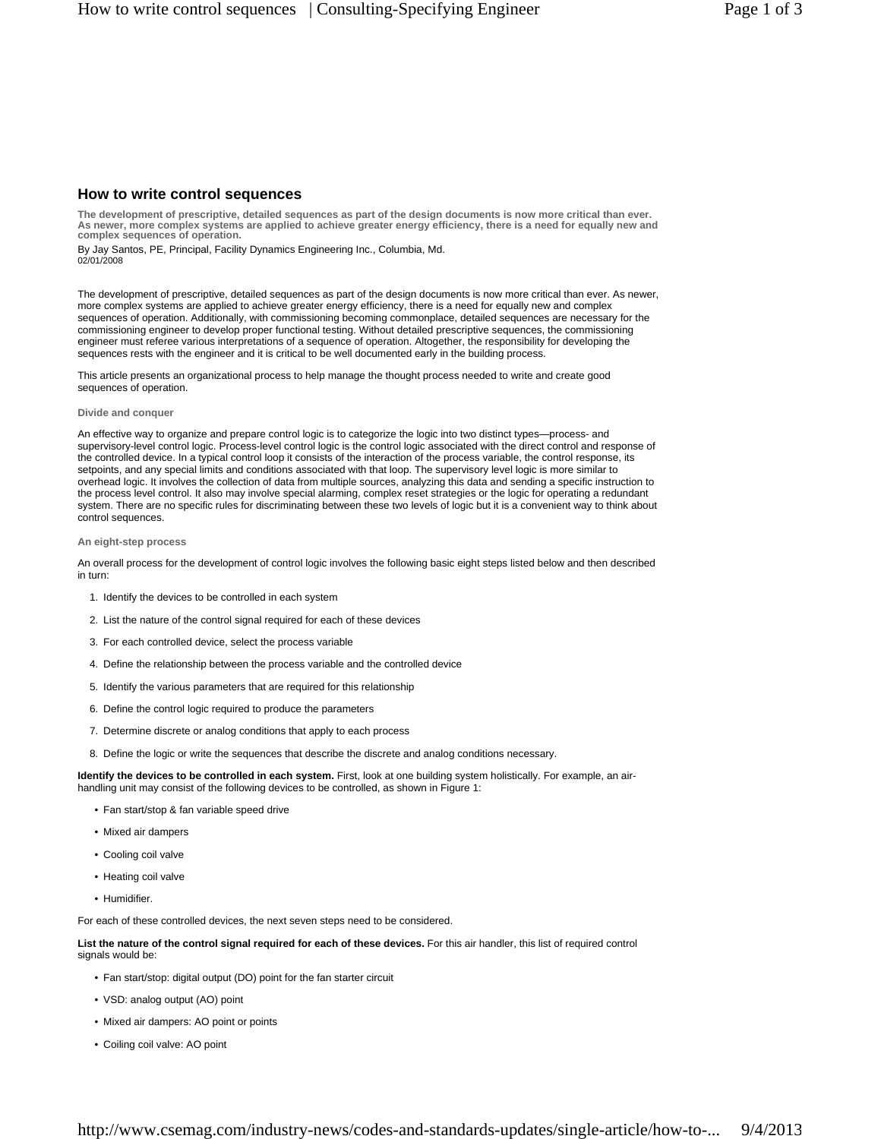# **How to write control sequences**

**The development of prescriptive, detailed sequences as part of the design documents is now more critical than ever. As newer, more complex systems are applied to achieve greater energy efficiency, there is a need for equally new and complex sequences of operation.**

02/01/2008 By Jay Santos, PE, Principal, Facility Dynamics Engineering Inc., Columbia, Md.

The development of prescriptive, detailed sequences as part of the design documents is now more critical than ever. As newer, more complex systems are applied to achieve greater energy efficiency, there is a need for equally new and complex sequences of operation. Additionally, with commissioning becoming commonplace, detailed sequences are necessary for the commissioning engineer to develop proper functional testing. Without detailed prescriptive sequences, the commissioning engineer must referee various interpretations of a sequence of operation. Altogether, the responsibility for developing the sequences rests with the engineer and it is critical to be well documented early in the building process.

This article presents an organizational process to help manage the thought process needed to write and create good sequences of operation.

### **Divide and conquer**

An effective way to organize and prepare control logic is to categorize the logic into two distinct types—process- and supervisory-level control logic. Process-level control logic is the control logic associated with the direct control and response of the controlled device. In a typical control loop it consists of the interaction of the process variable, the control response, its setpoints, and any special limits and conditions associated with that loop. The supervisory level logic is more similar to overhead logic. It involves the collection of data from multiple sources, analyzing this data and sending a specific instruction to the process level control. It also may involve special alarming, complex reset strategies or the logic for operating a redundant system. There are no specific rules for discriminating between these two levels of logic but it is a convenient way to think about control sequences.

### **An eight-step process**

An overall process for the development of control logic involves the following basic eight steps listed below and then described in turn:

- 1. Identify the devices to be controlled in each system
- 2. List the nature of the control signal required for each of these devices
- 3. For each controlled device, select the process variable
- 4. Define the relationship between the process variable and the controlled device
- 5. Identify the various parameters that are required for this relationship
- 6. Define the control logic required to produce the parameters
- 7. Determine discrete or analog conditions that apply to each process
- 8. Define the logic or write the sequences that describe the discrete and analog conditions necessary.

**Identify the devices to be controlled in each system.** First, look at one building system holistically. For example, an airhandling unit may consist of the following devices to be controlled, as shown in Figure 1:

- Fan start/stop & fan variable speed drive
- Mixed air dampers
- Cooling coil valve
- Heating coil valve
- Humidifier.

For each of these controlled devices, the next seven steps need to be considered.

**List the nature of the control signal required for each of these devices.** For this air handler, this list of required control signals would be:

- Fan start/stop: digital output (DO) point for the fan starter circuit
- VSD: analog output (AO) point
- Mixed air dampers: AO point or points
- Coiling coil valve: AO point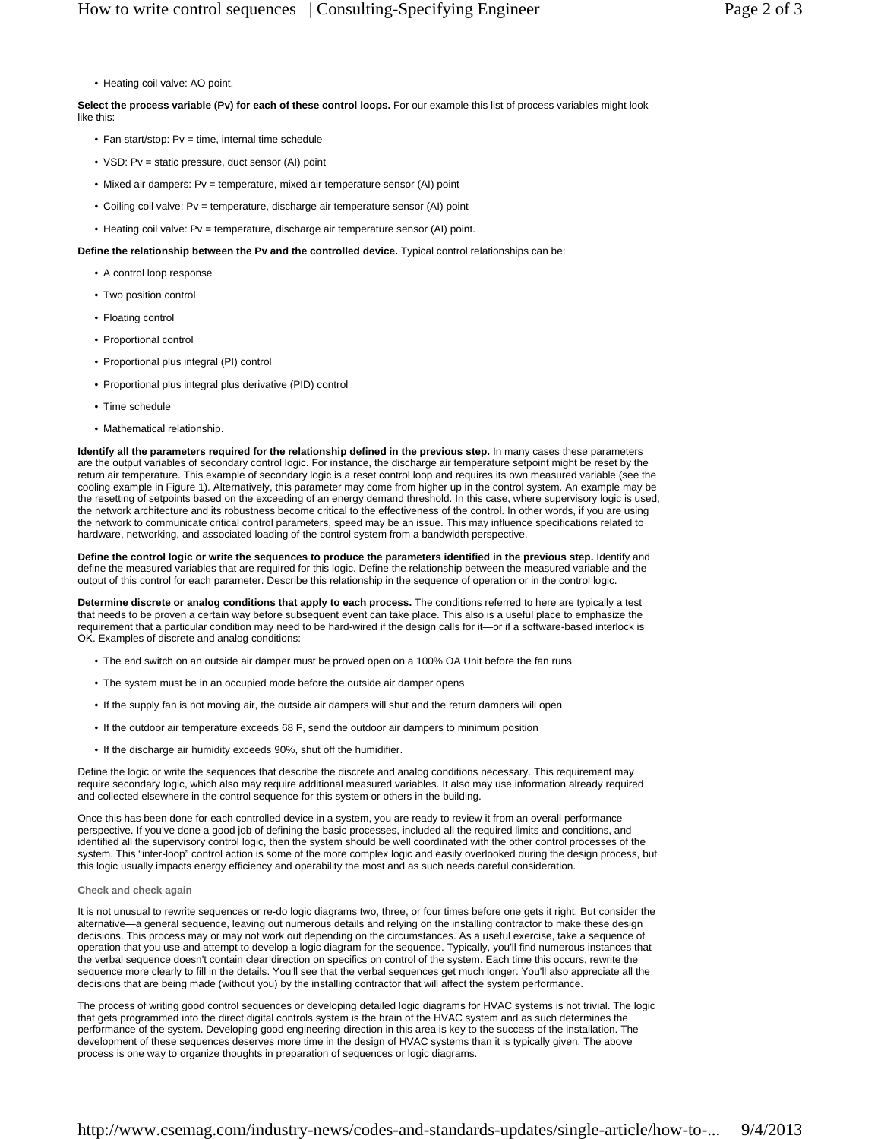• Heating coil valve: AO point.

**Select the process variable (Pv) for each of these control loops.** For our example this list of process variables might look like this:

- Fan start/stop: Pv = time, internal time schedule
- VSD: Pv = static pressure, duct sensor (AI) point
- Mixed air dampers: Pv = temperature, mixed air temperature sensor (AI) point
- Coiling coil valve: Pv = temperature, discharge air temperature sensor (AI) point
- Heating coil valve: Pv = temperature, discharge air temperature sensor (AI) point.

**Define the relationship between the Pv and the controlled device.** Typical control relationships can be:

- A control loop response
- Two position control
- Floating control
- Proportional control
- Proportional plus integral (PI) control
- Proportional plus integral plus derivative (PID) control
- Time schedule
- Mathematical relationship.

**Identify all the parameters required for the relationship defined in the previous step.** In many cases these parameters are the output variables of secondary control logic. For instance, the discharge air temperature setpoint might be reset by the return air temperature. This example of secondary logic is a reset control loop and requires its own measured variable (see the cooling example in Figure 1). Alternatively, this parameter may come from higher up in the control system. An example may be the resetting of setpoints based on the exceeding of an energy demand threshold. In this case, where supervisory logic is used, the network architecture and its robustness become critical to the effectiveness of the control. In other words, if you are using the network to communicate critical control parameters, speed may be an issue. This may influence specifications related to hardware, networking, and associated loading of the control system from a bandwidth perspective.

**Define the control logic or write the sequences to produce the parameters identified in the previous step.** Identify and define the measured variables that are required for this logic. Define the relationship between the measured variable and the output of this control for each parameter. Describe this relationship in the sequence of operation or in the control logic.

**Determine discrete or analog conditions that apply to each process.** The conditions referred to here are typically a test that needs to be proven a certain way before subsequent event can take place. This also is a useful place to emphasize the requirement that a particular condition may need to be hard-wired if the design calls for it—or if a software-based interlock is OK. Examples of discrete and analog conditions:

- The end switch on an outside air damper must be proved open on a 100% OA Unit before the fan runs
- The system must be in an occupied mode before the outside air damper opens
- If the supply fan is not moving air, the outside air dampers will shut and the return dampers will open
- If the outdoor air temperature exceeds 68 F, send the outdoor air dampers to minimum position
- If the discharge air humidity exceeds 90%, shut off the humidifier.

Define the logic or write the sequences that describe the discrete and analog conditions necessary. This requirement may require secondary logic, which also may require additional measured variables. It also may use information already required and collected elsewhere in the control sequence for this system or others in the building.

Once this has been done for each controlled device in a system, you are ready to review it from an overall performance perspective. If you've done a good job of defining the basic processes, included all the required limits and conditions, and identified all the supervisory control logic, then the system should be well coordinated with the other control processes of the system. This "inter-loop" control action is some of the more complex logic and easily overlooked during the design process, but this logic usually impacts energy efficiency and operability the most and as such needs careful consideration.

### **Check and check again**

It is not unusual to rewrite sequences or re-do logic diagrams two, three, or four times before one gets it right. But consider the alternative—a general sequence, leaving out numerous details and relying on the installing contractor to make these design decisions. This process may or may not work out depending on the circumstances. As a useful exercise, take a sequence of operation that you use and attempt to develop a logic diagram for the sequence. Typically, you'll find numerous instances that the verbal sequence doesn't contain clear direction on specifics on control of the system. Each time this occurs, rewrite the sequence more clearly to fill in the details. You'll see that the verbal sequences get much longer. You'll also appreciate all the decisions that are being made (without you) by the installing contractor that will affect the system performance.

The process of writing good control sequences or developing detailed logic diagrams for HVAC systems is not trivial. The logic that gets programmed into the direct digital controls system is the brain of the HVAC system and as such determines the performance of the system. Developing good engineering direction in this area is key to the success of the installation. The development of these sequences deserves more time in the design of HVAC systems than it is typically given. The above process is one way to organize thoughts in preparation of sequences or logic diagrams.